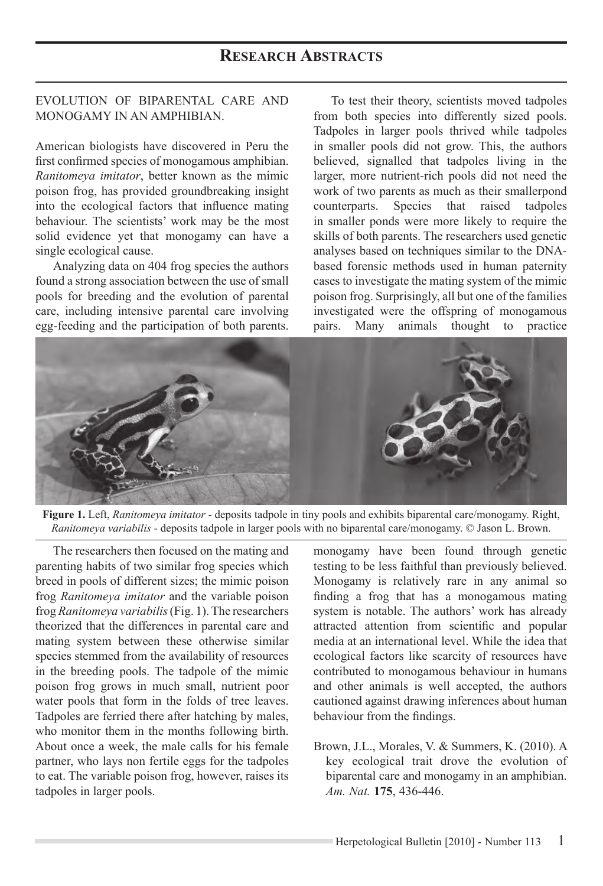## **RESEARCH ABSTRACTS**

## EVOLUTION OF BIPARENTAL CARE AND MONOGAMY IN AN AMPHIBIAN.

American biologists have discovered in Peru the first confirmed species of monogamous amphibian. *Ranitomeya imitator*, better known as the mimic poison frog, has provided groundbreaking insight into the ecological factors that influence mating behaviour. The scientists' work may be the most solid evidence yet that monogamy can have a single ecological cause.

Analyzing data on 404 frog species the authors found a strong association between the use of small pools for breeding and the evolution of parental care, including intensive parental care involving egg-feeding and the participation of both parents.

To test their theory, scientists moved tadpoles from both species into differently sized pools. Tadpoles in larger pools thrived while tadpoles in smaller pools did not grow. This, the authors believed, signalled that tadpoles living in the larger, more nutrient-rich pools did not need the work of two parents as much as their smallerpond counterparts. Species that raised tadpoles in smaller ponds were more likely to require the skills of both parents. The researchers used genetic analyses based on techniques similar to the DNAbased forensic methods used in human paternity cases to investigate the mating system of the mimic poison frog. Surprisingly, all but one of the families investigated were the offspring of monogamous pairs. Many animals thought to practice



Figure 1. Left, Ranitomeya imitator - deposits tadpole in tiny pools and exhibits biparental care/monogamy. Right, *Ranitomeya variabilis* - deposits tadpole in larger pools with no biparental care/monogamy. © Jason L. Brown.

The researchers then focused on the mating and parenting habits of two similar frog species which breed in pools of different sizes; the mimic poison frog *Ranitomeya imitator* and the variable poison frog *Ranitomeya variabilis* (Fig. 1). The researchers theorized that the differences in parental care and mating system between these otherwise similar species stemmed from the availability of resources in the breeding pools. The tadpole of the mimic poison frog grows in much small, nutrient poor water pools that form in the folds of tree leaves. Tadpoles are ferried there after hatching by males, who monitor them in the months following birth. About once a week, the male calls for his female partner, who lays non fertile eggs for the tadpoles to eat. The variable poison frog, however, raises its tadpoles in larger pools.

monogamy have been found through genetic testing to be less faithful than previously believed. Monogamy is relatively rare in any animal so finding a frog that has a monogamous mating system is notable. The authors' work has already attracted attention from scientific and popular media at an international level. While the idea that ecological factors like scarcity of resources have contributed to monogamous behaviour in humans and other animals is well accepted, the authors cautioned against drawing inferences about human behaviour from the findings.

Brown, J.L., Morales, V. & Summers, K. (2010). A key ecological trait drove the evolution of biparental care and monogamy in an amphibian. *Am. Nat.* **175**, 436-446.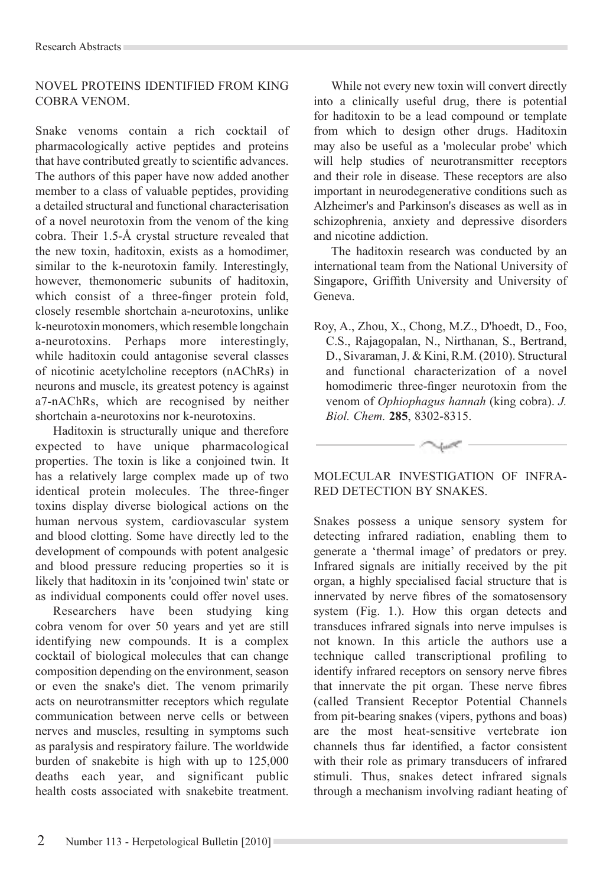## NOVEL PROTEINS IDENTIFIED FROM KING COBRA VENOM.

Snake venoms contain a rich cocktail of pharmacologically active peptides and proteins that have contributed greatly to scientific advances. The authors of this paper have now added another member to a class of valuable peptides, providing a detailed structural and functional characterisation of a novel neurotoxin from the venom of the king cobra. Their 1.5-Å crystal structure revealed that the new toxin, haditoxin, exists as a homodimer, similar to the k-neurotoxin family. Interestingly, however, themonomeric subunits of haditoxin, which consist of a three-finger protein fold, closely resemble shortchain a-neurotoxins, unlike k-neurotoxin monomers, which resemble longchain a-neurotoxins. Perhaps more interestingly, while haditoxin could antagonise several classes of nicotinic acetylcholine receptors (nAChRs) in neurons and muscle, its greatest potency is against a7-nAChRs, which are recognised by neither shortchain a-neurotoxins nor k-neurotoxins.

Haditoxin is structurally unique and therefore expected to have unique pharmacological properties. The toxin is like a conjoined twin. It has a relatively large complex made up of two identical protein molecules. The three-finger toxins display diverse biological actions on the human nervous system, cardiovascular system and blood clotting. Some have directly led to the development of compounds with potent analgesic and blood pressure reducing properties so it is likely that haditoxin in its 'conjoined twin' state or as individual components could offer novel uses.

Researchers have been studying king cobra venom for over 50 years and yet are still identifying new compounds. It is a complex cocktail of biological molecules that can change composition depending on the environment, season or even the snake's diet. The venom primarily acts on neurotransmitter receptors which regulate communication between nerve cells or between nerves and muscles, resulting in symptoms such as paralysis and respiratory failure. The worldwide burden of snakebite is high with up to  $125,000$ deaths each vear, and significant public health costs associated with snakebite treatment.

While not every new toxin will convert directly into a clinically useful drug, there is potential for haditoxin to be a lead compound or template from which to design other drugs. Haditoxin may also be useful as a 'molecular probe' which will help studies of neurotransmitter receptors and their role in disease. These receptors are also important in neurodegenerative conditions such as Alzheimer's and Parkinson's diseases as well as in schizophrenia, anxiety and depressive disorders and nicotine addiction.

The haditoxin research was conducted by an international team from the National University of Singapore, Griffith University and University of Geneva.

Roy, A., Zhou, X., Chong, M.Z., D'hoedt, D., Foo, C.S., Rajagopalan, N., Nirthanan, S., Bertrand, D., Sivaraman, J. & Kini, R.M. (2010). Structural and functional characterization of a novel homodimeric three-finger neurotoxin from the venom of *Ophiophagus hannah* (king cobra). *J. Biol. Chem.* **285**, 8302-8315.

MOLECULAR INVESTIGATION OF INFRA-RED DETECTION BY SNAKES.

Snakes possess a unique sensory system for detecting infrared radiation, enabling them to generate a 'thermal image' of predators or prey. Infrared signals are initially received by the pit organ, a highly specialised facial structure that is innervated by nerve fibres of the somatosensory system (Fig. 1.). How this organ detects and transduces infrared signals into nerve impulses is not known. In this article the authors use a technique called transcriptional profiling to identify infrared receptors on sensory nerve fibres that innervate the pit organ. These nerve fibres (called Transient Receptor Potential Channels from pit-bearing snakes (vipers, pythons and boas) are the most heat-sensitive vertebrate ion channels thus far identified a factor consistent with their role as primary transducers of infrared stimuli. Thus, snakes detect infrared signals through a mechanism involving radiant heating of